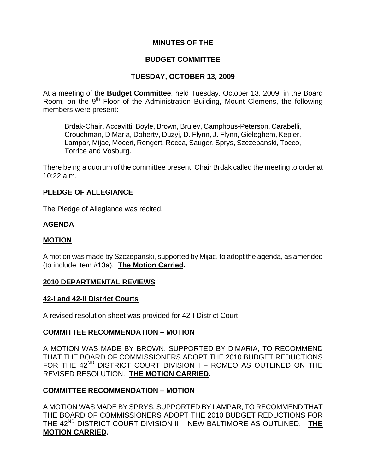# **MINUTES OF THE**

## **BUDGET COMMITTEE**

## **TUESDAY, OCTOBER 13, 2009**

At a meeting of the **Budget Committee**, held Tuesday, October 13, 2009, in the Board Room, on the 9<sup>th</sup> Floor of the Administration Building, Mount Clemens, the following members were present:

Brdak-Chair, Accavitti, Boyle, Brown, Bruley, Camphous-Peterson, Carabelli, Crouchman, DiMaria, Doherty, Duzyj, D. Flynn, J. Flynn, Gieleghem, Kepler, Lampar, Mijac, Moceri, Rengert, Rocca, Sauger, Sprys, Szczepanski, Tocco, Torrice and Vosburg.

There being a quorum of the committee present, Chair Brdak called the meeting to order at 10:22 a.m.

## **PLEDGE OF ALLEGIANCE**

The Pledge of Allegiance was recited.

## **AGENDA**

#### **MOTION**

A motion was made by Szczepanski, supported by Mijac, to adopt the agenda, as amended (to include item #13a). **The Motion Carried.** 

#### **2010 DEPARTMENTAL REVIEWS**

#### **42-I and 42-II District Courts**

A revised resolution sheet was provided for 42-I District Court.

## **COMMITTEE RECOMMENDATION – MOTION**

A MOTION WAS MADE BY BROWN, SUPPORTED BY DiMARIA, TO RECOMMEND THAT THE BOARD OF COMMISSIONERS ADOPT THE 2010 BUDGET REDUCTIONS FOR THE  $42^{ND}$  DISTRICT COURT DIVISION I – ROMEO AS OUTLINED ON THE REVISED RESOLUTION. **THE MOTION CARRIED.**

## **COMMITTEE RECOMMENDATION – MOTION**

A MOTION WAS MADE BY SPRYS, SUPPORTED BY LAMPAR, TO RECOMMEND THAT THE BOARD OF COMMISSIONERS ADOPT THE 2010 BUDGET REDUCTIONS FOR THE 42<sup>ND</sup> DISTRICT COURT DIVISION II – NEW BALTIMORE AS OUTLINED. THE **MOTION CARRIED.**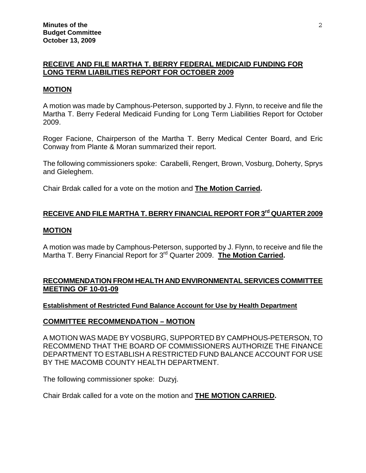# **RECEIVE AND FILE MARTHA T. BERRY FEDERAL MEDICAID FUNDING FOR LONG TERM LIABILITIES REPORT FOR OCTOBER 2009**

#### **MOTION**

A motion was made by Camphous-Peterson, supported by J. Flynn, to receive and file the Martha T. Berry Federal Medicaid Funding for Long Term Liabilities Report for October 2009.

Roger Facione, Chairperson of the Martha T. Berry Medical Center Board, and Eric Conway from Plante & Moran summarized their report.

The following commissioners spoke: Carabelli, Rengert, Brown, Vosburg, Doherty, Sprys and Gieleghem.

Chair Brdak called for a vote on the motion and **The Motion Carried.** 

# **RECEIVE AND FILE MARTHA T. BERRY FINANCIAL REPORT FOR 3<sup>rd</sup> QUARTER 2009**

#### **MOTION**

A motion was made by Camphous-Peterson, supported by J. Flynn, to receive and file the Martha T. Berry Financial Report for 3rd Quarter 2009. **The Motion Carried.** 

# **RECOMMENDATION FROM HEALTH AND ENVIRONMENTAL SERVICES COMMITTEE MEETING OF 10-01-09**

#### **Establishment of Restricted Fund Balance Account for Use by Health Department**

## **COMMITTEE RECOMMENDATION – MOTION**

A MOTION WAS MADE BY VOSBURG, SUPPORTED BY CAMPHOUS-PETERSON, TO RECOMMEND THAT THE BOARD OF COMMISSIONERS AUTHORIZE THE FINANCE DEPARTMENT TO ESTABLISH A RESTRICTED FUND BALANCE ACCOUNT FOR USE BY THE MACOMB COUNTY HEALTH DEPARTMENT.

The following commissioner spoke: Duzyj.

Chair Brdak called for a vote on the motion and **THE MOTION CARRIED.**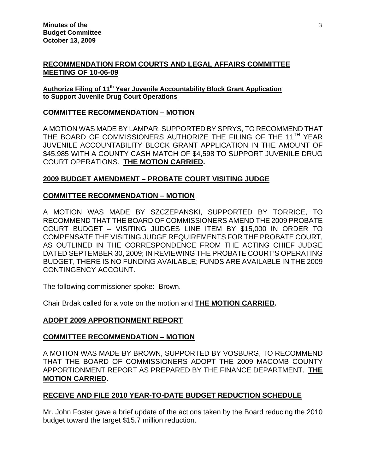# **RECOMMENDATION FROM COURTS AND LEGAL AFFAIRS COMMITTEE MEETING OF 10-06-09**

#### **Authorize Filing of 11th Year Juvenile Accountability Block Grant Application to Support Juvenile Drug Court Operations**

## **COMMITTEE RECOMMENDATION – MOTION**

A MOTION WAS MADE BY LAMPAR, SUPPORTED BY SPRYS, TO RECOMMEND THAT THE BOARD OF COMMISSIONERS AUTHORIZE THE FILING OF THE 11<sup>TH</sup> YEAR JUVENILE ACCOUNTABILITY BLOCK GRANT APPLICATION IN THE AMOUNT OF \$45,985 WITH A COUNTY CASH MATCH OF \$4,598 TO SUPPORT JUVENILE DRUG COURT OPERATIONS. **THE MOTION CARRIED.**

# **2009 BUDGET AMENDMENT – PROBATE COURT VISITING JUDGE**

## **COMMITTEE RECOMMENDATION – MOTION**

A MOTION WAS MADE BY SZCZEPANSKI, SUPPORTED BY TORRICE, TO RECOMMEND THAT THE BOARD OF COMMISSIONERS AMEND THE 2009 PROBATE COURT BUDGET – VISITING JUDGES LINE ITEM BY \$15,000 IN ORDER TO COMPENSATE THE VISITING JUDGE REQUIREMENTS FOR THE PROBATE COURT, AS OUTLINED IN THE CORRESPONDENCE FROM THE ACTING CHIEF JUDGE DATED SEPTEMBER 30, 2009; IN REVIEWING THE PROBATE COURT'S OPERATING BUDGET, THERE IS NO FUNDING AVAILABLE; FUNDS ARE AVAILABLE IN THE 2009 CONTINGENCY ACCOUNT.

The following commissioner spoke: Brown.

Chair Brdak called for a vote on the motion and **THE MOTION CARRIED.** 

# **ADOPT 2009 APPORTIONMENT REPORT**

## **COMMITTEE RECOMMENDATION – MOTION**

A MOTION WAS MADE BY BROWN, SUPPORTED BY VOSBURG, TO RECOMMEND THAT THE BOARD OF COMMISSIONERS ADOPT THE 2009 MACOMB COUNTY APPORTIONMENT REPORT AS PREPARED BY THE FINANCE DEPARTMENT. **THE MOTION CARRIED.** 

# **RECEIVE AND FILE 2010 YEAR-TO-DATE BUDGET REDUCTION SCHEDULE**

Mr. John Foster gave a brief update of the actions taken by the Board reducing the 2010 budget toward the target \$15.7 million reduction.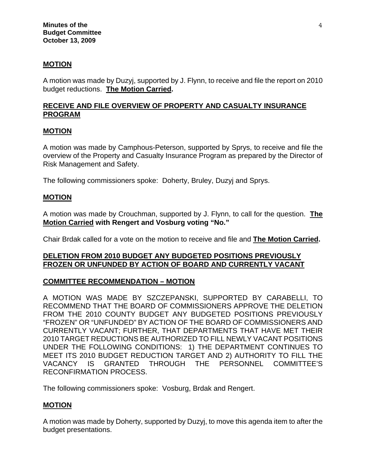## **MOTION**

A motion was made by Duzyj, supported by J. Flynn, to receive and file the report on 2010 budget reductions. **The Motion Carried.** 

# **RECEIVE AND FILE OVERVIEW OF PROPERTY AND CASUALTY INSURANCE PROGRAM**

#### **MOTION**

A motion was made by Camphous-Peterson, supported by Sprys, to receive and file the overview of the Property and Casualty Insurance Program as prepared by the Director of Risk Management and Safety.

The following commissioners spoke: Doherty, Bruley, Duzyj and Sprys.

#### **MOTION**

A motion was made by Crouchman, supported by J. Flynn, to call for the question. **The Motion Carried with Rengert and Vosburg voting "No."** 

Chair Brdak called for a vote on the motion to receive and file and **The Motion Carried.** 

#### **DELETION FROM 2010 BUDGET ANY BUDGETED POSITIONS PREVIOUSLY FROZEN OR UNFUNDED BY ACTION OF BOARD AND CURRENTLY VACANT**

#### **COMMITTEE RECOMMENDATION – MOTION**

A MOTION WAS MADE BY SZCZEPANSKI, SUPPORTED BY CARABELLI, TO RECOMMEND THAT THE BOARD OF COMMISSIONERS APPROVE THE DELETION FROM THE 2010 COUNTY BUDGET ANY BUDGETED POSITIONS PREVIOUSLY "FROZEN" OR "UNFUNDED" BY ACTION OF THE BOARD OF COMMISSIONERS AND CURRENTLY VACANT; FURTHER, THAT DEPARTMENTS THAT HAVE MET THEIR 2010 TARGET REDUCTIONS BE AUTHORIZED TO FILL NEWLY VACANT POSITIONS UNDER THE FOLLOWING CONDITIONS: 1) THE DEPARTMENT CONTINUES TO MEET ITS 2010 BUDGET REDUCTION TARGET AND 2) AUTHORITY TO FILL THE VACANCY IS GRANTED THROUGH THE PERSONNEL COMMITTEE'S RECONFIRMATION PROCESS.

The following commissioners spoke: Vosburg, Brdak and Rengert.

#### **MOTION**

A motion was made by Doherty, supported by Duzyj, to move this agenda item to after the budget presentations.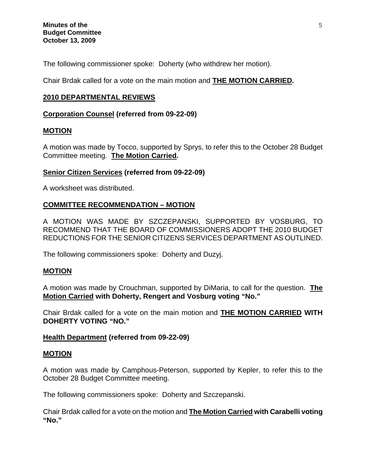The following commissioner spoke: Doherty (who withdrew her motion).

Chair Brdak called for a vote on the main motion and **THE MOTION CARRIED.** 

## **2010 DEPARTMENTAL REVIEWS**

#### **Corporation Counsel (referred from 09-22-09)**

#### **MOTION**

A motion was made by Tocco, supported by Sprys, to refer this to the October 28 Budget Committee meeting. **The Motion Carried.** 

## **Senior Citizen Services (referred from 09-22-09)**

A worksheet was distributed.

## **COMMITTEE RECOMMENDATION – MOTION**

A MOTION WAS MADE BY SZCZEPANSKI, SUPPORTED BY VOSBURG, TO RECOMMEND THAT THE BOARD OF COMMISSIONERS ADOPT THE 2010 BUDGET REDUCTIONS FOR THE SENIOR CITIZENS SERVICES DEPARTMENT AS OUTLINED.

The following commissioners spoke: Doherty and Duzyj.

## **MOTION**

A motion was made by Crouchman, supported by DiMaria, to call for the question. **The Motion Carried with Doherty, Rengert and Vosburg voting "No."** 

Chair Brdak called for a vote on the main motion and **THE MOTION CARRIED WITH DOHERTY VOTING "NO."** 

#### **Health Department (referred from 09-22-09)**

#### **MOTION**

A motion was made by Camphous-Peterson, supported by Kepler, to refer this to the October 28 Budget Committee meeting.

The following commissioners spoke: Doherty and Szczepanski.

Chair Brdak called for a vote on the motion and **The Motion Carried with Carabelli voting "No."**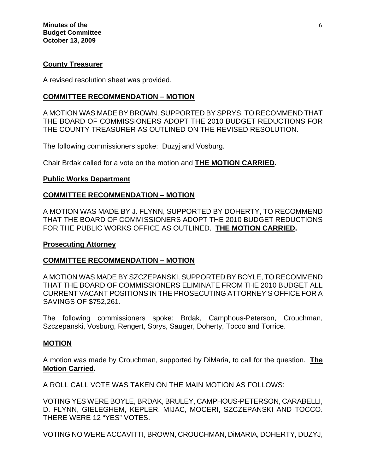#### **County Treasurer**

A revised resolution sheet was provided.

# **COMMITTEE RECOMMENDATION – MOTION**

A MOTION WAS MADE BY BROWN, SUPPORTED BY SPRYS, TO RECOMMEND THAT THE BOARD OF COMMISSIONERS ADOPT THE 2010 BUDGET REDUCTIONS FOR THE COUNTY TREASURER AS OUTLINED ON THE REVISED RESOLUTION.

The following commissioners spoke: Duzyj and Vosburg.

Chair Brdak called for a vote on the motion and **THE MOTION CARRIED.**

#### **Public Works Department**

#### **COMMITTEE RECOMMENDATION – MOTION**

A MOTION WAS MADE BY J. FLYNN, SUPPORTED BY DOHERTY, TO RECOMMEND THAT THE BOARD OF COMMISSIONERS ADOPT THE 2010 BUDGET REDUCTIONS FOR THE PUBLIC WORKS OFFICE AS OUTLINED. **THE MOTION CARRIED.** 

#### **Prosecuting Attorney**

## **COMMITTEE RECOMMENDATION – MOTION**

A MOTION WAS MADE BY SZCZEPANSKI, SUPPORTED BY BOYLE, TO RECOMMEND THAT THE BOARD OF COMMISSIONERS ELIMINATE FROM THE 2010 BUDGET ALL CURRENT VACANT POSITIONS IN THE PROSECUTING ATTORNEY'S OFFICE FOR A SAVINGS OF \$752,261.

The following commissioners spoke: Brdak, Camphous-Peterson, Crouchman, Szczepanski, Vosburg, Rengert, Sprys, Sauger, Doherty, Tocco and Torrice.

#### **MOTION**

A motion was made by Crouchman, supported by DiMaria, to call for the question. **The Motion Carried.** 

A ROLL CALL VOTE WAS TAKEN ON THE MAIN MOTION AS FOLLOWS:

VOTING YES WERE BOYLE, BRDAK, BRULEY, CAMPHOUS-PETERSON, CARABELLI, D. FLYNN, GIELEGHEM, KEPLER, MIJAC, MOCERI, SZCZEPANSKI AND TOCCO. THERE WERE 12 "YES" VOTES.

VOTING NO WERE ACCAVITTI, BROWN, CROUCHMAN, DiMARIA, DOHERTY, DUZYJ,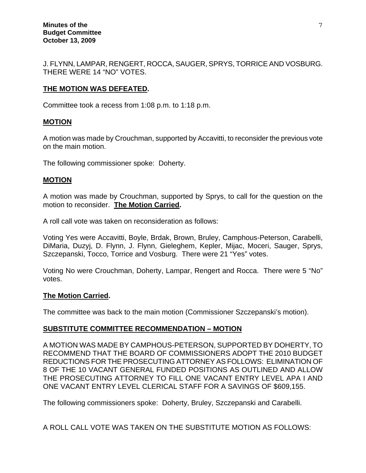J. FLYNN, LAMPAR, RENGERT, ROCCA, SAUGER, SPRYS, TORRICE AND VOSBURG. THERE WERE 14 "NO" VOTES.

# **THE MOTION WAS DEFEATED.**

Committee took a recess from 1:08 p.m. to 1:18 p.m.

## **MOTION**

A motion was made by Crouchman, supported by Accavitti, to reconsider the previous vote on the main motion.

The following commissioner spoke: Doherty.

## **MOTION**

A motion was made by Crouchman, supported by Sprys, to call for the question on the motion to reconsider. **The Motion Carried.** 

A roll call vote was taken on reconsideration as follows:

Voting Yes were Accavitti, Boyle, Brdak, Brown, Bruley, Camphous-Peterson, Carabelli, DiMaria, Duzyj, D. Flynn, J. Flynn, Gieleghem, Kepler, Mijac, Moceri, Sauger, Sprys, Szczepanski, Tocco, Torrice and Vosburg. There were 21 "Yes" votes.

Voting No were Crouchman, Doherty, Lampar, Rengert and Rocca. There were 5 "No" votes.

#### **The Motion Carried.**

The committee was back to the main motion (Commissioner Szczepanski's motion).

## **SUBSTITUTE COMMITTEE RECOMMENDATION – MOTION**

A MOTION WAS MADE BY CAMPHOUS-PETERSON, SUPPORTED BY DOHERTY, TO RECOMMEND THAT THE BOARD OF COMMISSIONERS ADOPT THE 2010 BUDGET REDUCTIONS FOR THE PROSECUTING ATTORNEY AS FOLLOWS: ELIMINATION OF 8 OF THE 10 VACANT GENERAL FUNDED POSITIONS AS OUTLINED AND ALLOW THE PROSECUTING ATTORNEY TO FILL ONE VACANT ENTRY LEVEL APA I AND ONE VACANT ENTRY LEVEL CLERICAL STAFF FOR A SAVINGS OF \$609,155.

The following commissioners spoke: Doherty, Bruley, Szczepanski and Carabelli.

A ROLL CALL VOTE WAS TAKEN ON THE SUBSTITUTE MOTION AS FOLLOWS: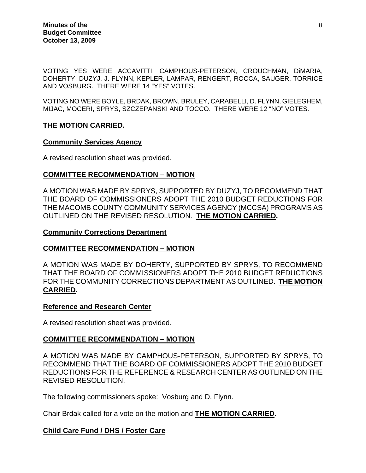VOTING YES WERE ACCAVITTI, CAMPHOUS-PETERSON, CROUCHMAN, DiMARIA, DOHERTY, DUZYJ, J. FLYNN, KEPLER, LAMPAR, RENGERT, ROCCA, SAUGER, TORRICE AND VOSBURG. THERE WERE 14 "YES" VOTES.

VOTING NO WERE BOYLE, BRDAK, BROWN, BRULEY, CARABELLI, D. FLYNN, GIELEGHEM, MIJAC, MOCERI, SPRYS, SZCZEPANSKI AND TOCCO. THERE WERE 12 "NO" VOTES.

#### **THE MOTION CARRIED.**

#### **Community Services Agency**

A revised resolution sheet was provided.

#### **COMMITTEE RECOMMENDATION – MOTION**

A MOTION WAS MADE BY SPRYS, SUPPORTED BY DUZYJ, TO RECOMMEND THAT THE BOARD OF COMMISSIONERS ADOPT THE 2010 BUDGET REDUCTIONS FOR THE MACOMB COUNTY COMMUNITY SERVICES AGENCY (MCCSA) PROGRAMS AS OUTLINED ON THE REVISED RESOLUTION. **THE MOTION CARRIED.** 

#### **Community Corrections Department**

#### **COMMITTEE RECOMMENDATION – MOTION**

A MOTION WAS MADE BY DOHERTY, SUPPORTED BY SPRYS, TO RECOMMEND THAT THE BOARD OF COMMISSIONERS ADOPT THE 2010 BUDGET REDUCTIONS FOR THE COMMUNITY CORRECTIONS DEPARTMENT AS OUTLINED. **THE MOTION CARRIED.** 

#### **Reference and Research Center**

A revised resolution sheet was provided.

#### **COMMITTEE RECOMMENDATION – MOTION**

A MOTION WAS MADE BY CAMPHOUS-PETERSON, SUPPORTED BY SPRYS, TO RECOMMEND THAT THE BOARD OF COMMISSIONERS ADOPT THE 2010 BUDGET REDUCTIONS FOR THE REFERENCE & RESEARCH CENTER AS OUTLINED ON THE REVISED RESOLUTION.

The following commissioners spoke: Vosburg and D. Flynn.

Chair Brdak called for a vote on the motion and **THE MOTION CARRIED.** 

#### **Child Care Fund / DHS / Foster Care**